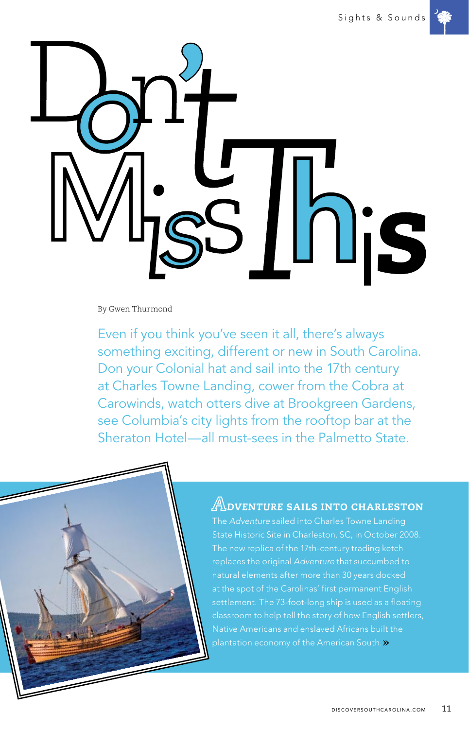

By Gwen Thurmond

Even if you think you've seen it all, there's always something exciting, different or new in South Carolina. Don your Colonial hat and sail into the 17th century at Charles Towne Landing, cower from the Cobra at Carowinds, watch otters dive at Brookgreen Gardens, see Columbia's city lights from the rooftop bar at the Sheraton Hotel—all must-sees in the Palmetto State.



The *Adventure* sailed into Charles Towne Landing replaces the original *Adventure* that succumbed to plantation economy of the American South. $\gg$